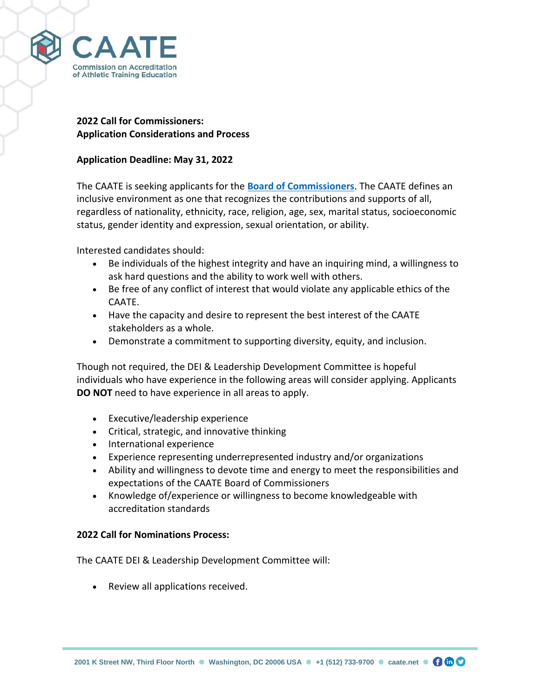

# **2022 Call for Commissioners: Application Considerations and Process**

# **Application Deadline: May 31, 2022**

The CAATE is seeking applicants for the **[Board of Commissioners](https://caate.net/commission-leadership/the-caate-2022-call-for-commissioners-is-open/)**. The CAATE defines an inclusive environment as one that recognizes the contributions and supports of all, regardless of nationality, ethnicity, race, religion, age, sex, marital status, socioeconomic status, gender identity and expression, sexual orientation, or ability.

Interested candidates should:

- Be individuals of the highest integrity and have an inquiring mind, a willingness to ask hard questions and the ability to work well with others.
- Be free of any conflict of interest that would violate any applicable ethics of the CAATE.
- Have the capacity and desire to represent the best interest of the CAATE stakeholders as a whole.
- Demonstrate a commitment to supporting diversity, equity, and inclusion.

Though not required, the DEI & Leadership Development Committee is hopeful individuals who have experience in the following areas will consider applying. Applicants **DO NOT** need to have experience in all areas to apply.

- Executive/leadership experience
- Critical, strategic, and innovative thinking
- International experience
- Experience representing underrepresented industry and/or organizations
- Ability and willingness to devote time and energy to meet the responsibilities and expectations of the CAATE Board of Commissioners
- Knowledge of/experience or willingness to become knowledgeable with accreditation standards

# **2022 Call for Nominations Process:**

The CAATE DEI & Leadership Development Committee will:

• Review all applications received.